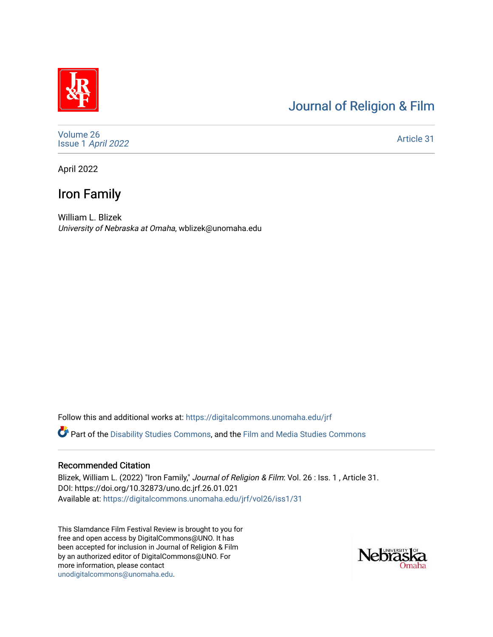# [Journal of Religion & Film](https://digitalcommons.unomaha.edu/jrf)

[Volume 26](https://digitalcommons.unomaha.edu/jrf/vol26) Issue 1 [April 2022](https://digitalcommons.unomaha.edu/jrf/vol26/iss1) 

[Article 31](https://digitalcommons.unomaha.edu/jrf/vol26/iss1/31) 

April 2022

# Iron Family

William L. Blizek University of Nebraska at Omaha, wblizek@unomaha.edu

Follow this and additional works at: [https://digitalcommons.unomaha.edu/jrf](https://digitalcommons.unomaha.edu/jrf?utm_source=digitalcommons.unomaha.edu%2Fjrf%2Fvol26%2Fiss1%2F31&utm_medium=PDF&utm_campaign=PDFCoverPages)

Part of the [Disability Studies Commons](http://network.bepress.com/hgg/discipline/1417?utm_source=digitalcommons.unomaha.edu%2Fjrf%2Fvol26%2Fiss1%2F31&utm_medium=PDF&utm_campaign=PDFCoverPages), and the [Film and Media Studies Commons](http://network.bepress.com/hgg/discipline/563?utm_source=digitalcommons.unomaha.edu%2Fjrf%2Fvol26%2Fiss1%2F31&utm_medium=PDF&utm_campaign=PDFCoverPages) 

#### Recommended Citation

Blizek, William L. (2022) "Iron Family," Journal of Religion & Film: Vol. 26 : Iss. 1, Article 31. DOI: https://doi.org/10.32873/uno.dc.jrf.26.01.021 Available at: [https://digitalcommons.unomaha.edu/jrf/vol26/iss1/31](https://digitalcommons.unomaha.edu/jrf/vol26/iss1/31?utm_source=digitalcommons.unomaha.edu%2Fjrf%2Fvol26%2Fiss1%2F31&utm_medium=PDF&utm_campaign=PDFCoverPages) 

This Slamdance Film Festival Review is brought to you for free and open access by DigitalCommons@UNO. It has been accepted for inclusion in Journal of Religion & Film by an authorized editor of DigitalCommons@UNO. For more information, please contact [unodigitalcommons@unomaha.edu.](mailto:unodigitalcommons@unomaha.edu)

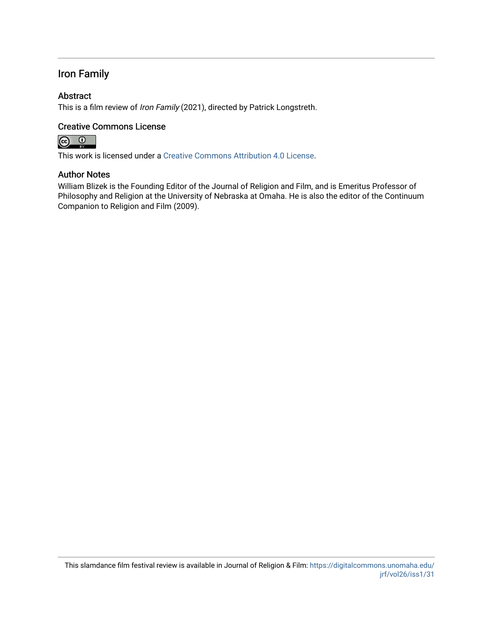## Iron Family

## Abstract

This is a film review of Iron Family (2021), directed by Patrick Longstreth.

### Creative Commons License



This work is licensed under a [Creative Commons Attribution 4.0 License](https://creativecommons.org/licenses/by/4.0/).

### Author Notes

William Blizek is the Founding Editor of the Journal of Religion and Film, and is Emeritus Professor of Philosophy and Religion at the University of Nebraska at Omaha. He is also the editor of the Continuum Companion to Religion and Film (2009).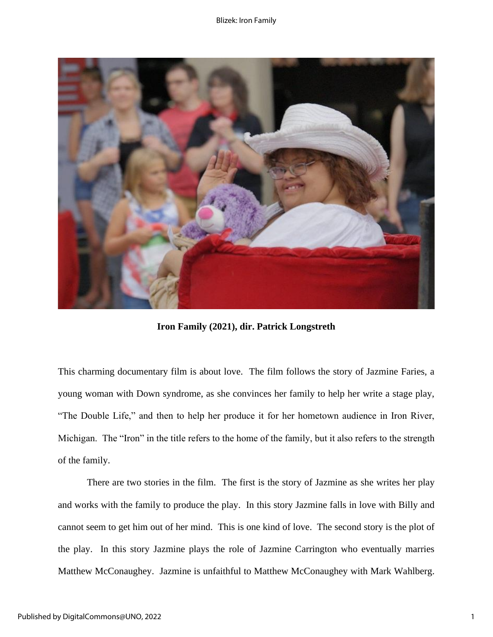

**Iron Family (2021), dir. Patrick Longstreth**

This charming documentary film is about love. The film follows the story of Jazmine Faries, a young woman with Down syndrome, as she convinces her family to help her write a stage play, "The Double Life," and then to help her produce it for her hometown audience in Iron River, Michigan. The "Iron" in the title refers to the home of the family, but it also refers to the strength of the family.

There are two stories in the film. The first is the story of Jazmine as she writes her play and works with the family to produce the play. In this story Jazmine falls in love with Billy and cannot seem to get him out of her mind. This is one kind of love. The second story is the plot of the play. In this story Jazmine plays the role of Jazmine Carrington who eventually marries Matthew McConaughey. Jazmine is unfaithful to Matthew McConaughey with Mark Wahlberg.